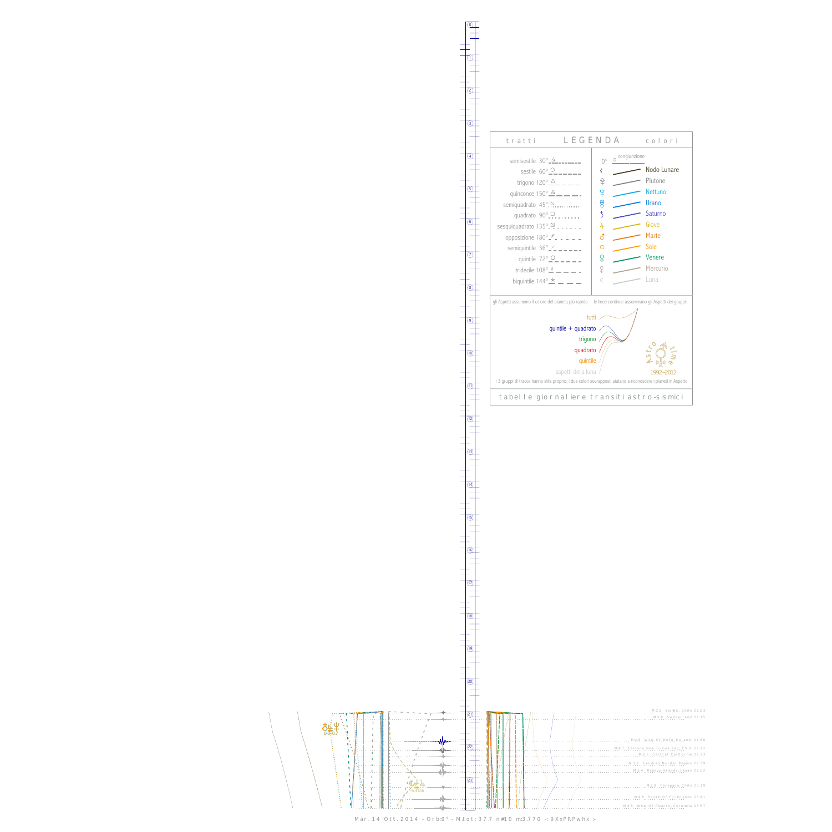